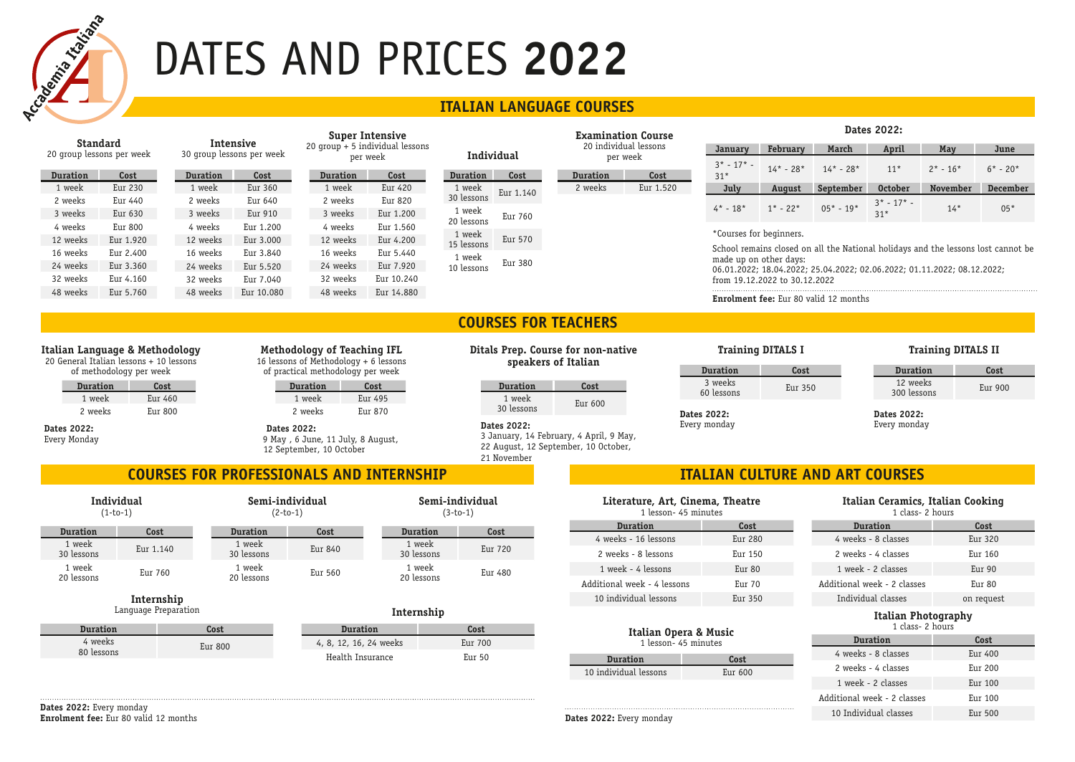

# DATES AND PRICES **2022**

# **ITALIAN LANGUAGE COURSES**

| Standard<br>20 group lessons per week |           | Intensive<br>30 group lessons per week |            | Super Intensive<br>$20$ group + 5 individual lessons<br>Individual<br>per week |            |                      | <b>Examination Course</b>         |                 |              | Dalts LULL.             |                               |                                              |                                                                                                             |                                                                         |          |  |  |  |
|---------------------------------------|-----------|----------------------------------------|------------|--------------------------------------------------------------------------------|------------|----------------------|-----------------------------------|-----------------|--------------|-------------------------|-------------------------------|----------------------------------------------|-------------------------------------------------------------------------------------------------------------|-------------------------------------------------------------------------|----------|--|--|--|
|                                       |           |                                        |            |                                                                                |            |                      | 20 individual lessons<br>per week |                 | January      | February                | March                         | April                                        | May                                                                                                         | June                                                                    |          |  |  |  |
|                                       |           |                                        |            |                                                                                |            |                      |                                   |                 | $3* - 17* -$ | $14* - 28*$             | $14* - 28*$                   | $11*$                                        | $2* - 16*$                                                                                                  | $6* - 20*$                                                              |          |  |  |  |
| <b>Duration</b>                       | Cost      | <b>Duration</b>                        | Cost       | <b>Duration</b>                                                                | Cost       | <b>Duration</b>      | Cost                              | <b>Duration</b> | Cost         | $31*$                   |                               |                                              |                                                                                                             |                                                                         |          |  |  |  |
| 1 week                                | Eur 230   | 1 week                                 | Eur 360    | 1 week                                                                         | Eur 420    | 1 week               | Eur 1.140                         | 2 weeks         | Eur 1.520    | July                    | August                        | September                                    | <b>October</b>                                                                                              | November                                                                | December |  |  |  |
| 2 weeks                               | Eur 440   | 2 weeks                                | Eur 640    | 2 weeks                                                                        | Eur 820    | 30 lessons           |                                   |                 |              |                         |                               |                                              | $3^*$ - 17 <sup>*</sup> -                                                                                   |                                                                         |          |  |  |  |
| 3 weeks                               | Eur 630   | 3 weeks                                | Eur 910    | 3 weeks                                                                        | Eur 1.200  | 1 week               | Eur 760                           |                 |              | $4* - 18*$              | $1^*$ - 22*                   | $05* - 19*$                                  | $31*$                                                                                                       | $14*$                                                                   | $05*$    |  |  |  |
| 4 weeks                               | Eur 800   | 4 weeks                                | Eur 1.200  | 4 weeks                                                                        | Eur 1.560  | 20 lessons           |                                   |                 |              | *Courses for beginners. |                               |                                              |                                                                                                             |                                                                         |          |  |  |  |
| 12 weeks                              | Eur 1.920 | 12 weeks                               | Eur 3.000  | 12 weeks                                                                       | Eur 4.200  | 1 week<br>15 lessons |                                   |                 | Eur 570      |                         |                               |                                              |                                                                                                             |                                                                         |          |  |  |  |
| 16 weeks                              | Eur 2.400 | 16 weeks                               | Eur 3.840  | 16 weeks                                                                       | Eur 5.440  |                      | 1 week                            |                 |              |                         |                               |                                              | School remains closed on all the National holidays and the lessons lost cannot be<br>made up on other days: |                                                                         |          |  |  |  |
| 24 weeks                              | Eur 3.360 | 24 weeks                               | Eur 5.520  | 24 weeks                                                                       | Eur 7.920  | 10 lessons           | Eur 380                           |                 |              |                         |                               |                                              |                                                                                                             | 06.01.2022: 18.04.2022: 25.04.2022: 02.06.2022: 01.11.2022: 08.12.2022: |          |  |  |  |
| 32 weeks                              | Eur 4.160 | 32 weeks                               | Eur 7.040  | 32 weeks                                                                       | Eur 10.240 |                      |                                   |                 |              |                         | from 19.12.2022 to 30.12.2022 |                                              |                                                                                                             |                                                                         |          |  |  |  |
| 48 weeks                              | Eur 5.760 | 48 weeks                               | Eur 10.080 | 48 weeks                                                                       | Eur 14.880 |                      |                                   |                 |              |                         |                               | <b>Enrolment fee:</b> Eur 80 valid 12 months |                                                                                                             |                                                                         |          |  |  |  |
|                                       |           |                                        |            |                                                                                |            |                      |                                   |                 |              |                         |                               |                                              |                                                                                                             |                                                                         |          |  |  |  |

# **COURSES FOR TEACHERS**

## **Italian Language & Methodology**

20 General Italian lessons + 10 lessons of methodology per week

| Duration | Cost    |
|----------|---------|
| 1 week   | Eur 460 |
| 2 weeks  | Eur 800 |

**Dates 2022:** Every Monday

| Methodology of Teaching IFL           |
|---------------------------------------|
| 16 lessons of Methodology + 6 lessons |
| of practical methodology per week     |

| <b>Duration</b> | Cost    |
|-----------------|---------|
| 1 week          | Eur 495 |
| 2 weeks         | Eur 870 |

**Dates 2022:** 9 May , 6 June, 11 July, 8 August, 12 September, 10 October

# **COURSES FOR PROFESSIONALS AND INTERNSHIP ITALIAN CULTURE AND ART COURSES**

|                      | Individual<br>$(1-to-1)$ | $(2-to-1)$           | Semi-individual | Semi-individual<br>$(3-to-1)$ |         |  |
|----------------------|--------------------------|----------------------|-----------------|-------------------------------|---------|--|
| <b>Duration</b>      | Cost                     | <b>Duration</b>      | Cost            | <b>Duration</b>               | Cost    |  |
| 1 week<br>30 lessons | Eur 1.140                | 1 week<br>30 lessons | Eur 840         | 1 week<br>30 lessons          | Eur 720 |  |
| 1 week<br>20 lessons | Eur 760                  | 1 week<br>20 lessons | Eur 560         | 1 week<br>20 lessons          | Eur 480 |  |

### **Internship** Language Preparation

| Bessel, Bessel        |         |  |  |  |
|-----------------------|---------|--|--|--|
| <b>Duration</b>       | Cost    |  |  |  |
| 4 weeks<br>80 lessons | Eur 800 |  |  |  |

|  | Intarnehin |  |  |
|--|------------|--|--|

| Duration               | Cost              |
|------------------------|-------------------|
| 4, 8, 12, 16, 24 weeks | Eur 700           |
| Health Insurance       | Eur <sub>50</sub> |

### **Ditals Prep. Course for non-native speakers of Italian**

| Duration             | Cost    |
|----------------------|---------|
| 1 week<br>30 lessons | Eur 600 |

**Dates 2022:** 3 January, 14 February, 4 April, 9 May, 22 August, 12 September, 10 October, 21 November

# **Duration Cost**

| Duration              | <b>LOST</b> |
|-----------------------|-------------|
| 3 weeks<br>60 lessons | Eur 350     |
| Dates 2022:           |             |

Every monday

### **Training DITALS I Training DITALS II**

| Duration                | Cost    |
|-------------------------|---------|
| 12 weeks<br>300 lessons | Eur 900 |

**Dates 2022:** Every monday

**Dates 2022:**

### **Literature, Art, Cinema, Theatre** 1 lesson- 45 minutes

| <b>Duration</b>             | Cost              |  |  |  |  |
|-----------------------------|-------------------|--|--|--|--|
| 4 weeks - 16 lessons        | Eur 280           |  |  |  |  |
| 2 weeks - 8 lessons         | Eur 150           |  |  |  |  |
| 1 week - 4 lessons          | Eur 80            |  |  |  |  |
| Additional week - 4 lessons | Eur <sub>70</sub> |  |  |  |  |
| 10 individual lessons       | Eur 350           |  |  |  |  |

### **Italian Opera & Music**

| 1 lesson- 45 minutes  |           |  |  |  |  |  |  |
|-----------------------|-----------|--|--|--|--|--|--|
| Duration              | Cost      |  |  |  |  |  |  |
| 10 individual lessons | Eur $600$ |  |  |  |  |  |  |

### **Italian Ceramics, Italian Cooking** 1 class- 2 hours

| <b>Duration</b>             | Cost               |
|-----------------------------|--------------------|
| 4 weeks - 8 classes         | Eur <sub>320</sub> |
| 2 weeks - 4 classes         | Eur 160            |
| 1 week - 2 classes          | $EU$ r 90          |
| Additional week - 2 classes | $EU$ r 80          |
| Individual classes          | on request         |

### **Italian Photography** 1 class- 2 hours

| <b>Duration</b>             | Cost               |
|-----------------------------|--------------------|
| 4 weeks - 8 classes         | $Eur$ 400          |
| 2 weeks - 4 classes         | $Eur$ 200          |
| 1 week - 2 classes          | Eur 100            |
| Additional week - 2 classes | Eur 100            |
| 10 Individual classes       | Eur <sub>500</sub> |

**Dates 2022:** Every monday **Enrolment fee:** Eur 80 valid 12 months

**Dates 2022:** Every monday